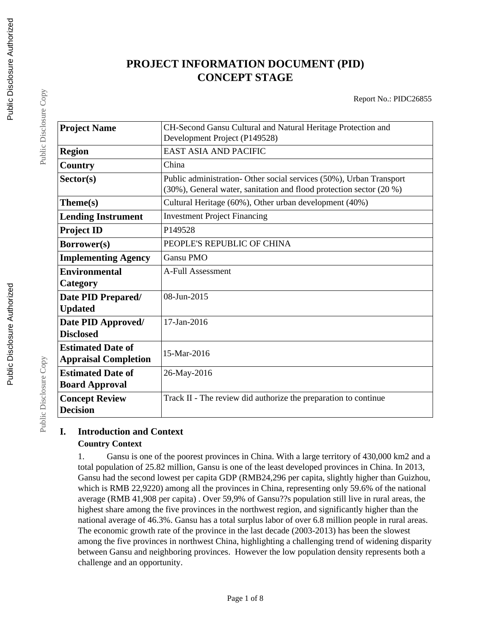# **PROJECT INFORMATION DOCUMENT (PID) CONCEPT STAGE**

Report No.: PIDC26855

| <b>Project Name</b>         | CH-Second Gansu Cultural and Natural Heritage Protection and                                                                               |
|-----------------------------|--------------------------------------------------------------------------------------------------------------------------------------------|
|                             | Development Project (P149528)                                                                                                              |
| <b>Region</b>               | <b>EAST ASIA AND PACIFIC</b>                                                                                                               |
| Country                     | China                                                                                                                                      |
| Sector(s)                   | Public administration- Other social services (50%), Urban Transport<br>(30%), General water, sanitation and flood protection sector (20 %) |
| Theme(s)                    | Cultural Heritage (60%), Other urban development (40%)                                                                                     |
| <b>Lending Instrument</b>   | <b>Investment Project Financing</b>                                                                                                        |
| <b>Project ID</b>           | P149528                                                                                                                                    |
| <b>Borrower(s)</b>          | PEOPLE'S REPUBLIC OF CHINA                                                                                                                 |
| <b>Implementing Agency</b>  | <b>Gansu PMO</b>                                                                                                                           |
| <b>Environmental</b>        | <b>A-Full Assessment</b>                                                                                                                   |
| Category                    |                                                                                                                                            |
| Date PID Prepared/          | 08-Jun-2015                                                                                                                                |
| <b>Updated</b>              |                                                                                                                                            |
| Date PID Approved/          | 17-Jan-2016                                                                                                                                |
| <b>Disclosed</b>            |                                                                                                                                            |
| <b>Estimated Date of</b>    | 15-Mar-2016                                                                                                                                |
| <b>Appraisal Completion</b> |                                                                                                                                            |
| <b>Estimated Date of</b>    | 26-May-2016                                                                                                                                |
| <b>Board Approval</b>       |                                                                                                                                            |
| <b>Concept Review</b>       | Track II - The review did authorize the preparation to continue                                                                            |
| <b>Decision</b>             |                                                                                                                                            |

## **I. Introduction and Context Country Context**

1. Gansu is one of the poorest provinces in China. With a large territory of 430,000 km2 and a total population of 25.82 million, Gansu is one of the least developed provinces in China. In 2013, Gansu had the second lowest per capita GDP (RMB24,296 per capita, slightly higher than Guizhou, which is RMB 22,9220) among all the provinces in China, representing only 59.6% of the national average (RMB 41,908 per capita) . Over 59,9% of Gansu??s population still live in rural areas, the highest share among the five provinces in the northwest region, and significantly higher than the national average of 46.3%. Gansu has a total surplus labor of over 6.8 million people in rural areas. The economic growth rate of the province in the last decade (2003-2013) has been the slowest among the five provinces in northwest China, highlighting a challenging trend of widening disparity between Gansu and neighboring provinces. However the low population density represents both a challenge and an opportunity.

Public Disclosure Copy

Public Disclosure Copy

Public Disclosure Copy

Public Disclosure Copy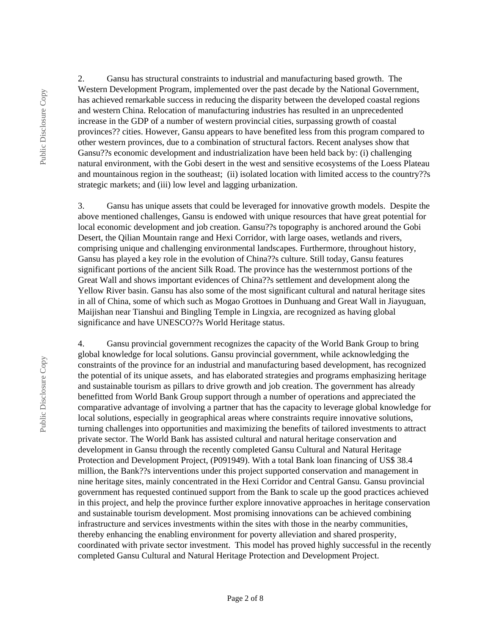2. Gansu has structural constraints to industrial and manufacturing based growth. The Western Development Program, implemented over the past decade by the National Government, has achieved remarkable success in reducing the disparity between the developed coastal regions and western China. Relocation of manufacturing industries has resulted in an unprecedented increase in the GDP of a number of western provincial cities, surpassing growth of coastal provinces?? cities. However, Gansu appears to have benefited less from this program compared to other western provinces, due to a combination of structural factors. Recent analyses show that Gansu??s economic development and industrialization have been held back by: (i) challenging natural environment, with the Gobi desert in the west and sensitive ecosystems of the Loess Plateau and mountainous region in the southeast; (ii) isolated location with limited access to the country??s strategic markets; and (iii) low level and lagging urbanization.

3. Gansu has unique assets that could be leveraged for innovative growth models. Despite the above mentioned challenges, Gansu is endowed with unique resources that have great potential for local economic development and job creation. Gansu??s topography is anchored around the Gobi Desert, the Qilian Mountain range and Hexi Corridor, with large oases, wetlands and rivers, comprising unique and challenging environmental landscapes. Furthermore, throughout history, Gansu has played a key role in the evolution of China??s culture. Still today, Gansu features significant portions of the ancient Silk Road. The province has the westernmost portions of the Great Wall and shows important evidences of China??s settlement and development along the Yellow River basin. Gansu has also some of the most significant cultural and natural heritage sites in all of China, some of which such as Mogao Grottoes in Dunhuang and Great Wall in Jiayuguan, Maijishan near Tianshui and Bingling Temple in Lingxia, are recognized as having global significance and have UNESCO??s World Heritage status.

4. Gansu provincial government recognizes the capacity of the World Bank Group to bring global knowledge for local solutions. Gansu provincial government, while acknowledging the constraints of the province for an industrial and manufacturing based development, has recognized the potential of its unique assets, and has elaborated strategies and programs emphasizing heritage and sustainable tourism as pillars to drive growth and job creation. The government has already benefitted from World Bank Group support through a number of operations and appreciated the comparative advantage of involving a partner that has the capacity to leverage global knowledge for local solutions, especially in geographical areas where constraints require innovative solutions, turning challenges into opportunities and maximizing the benefits of tailored investments to attract private sector. The World Bank has assisted cultural and natural heritage conservation and development in Gansu through the recently completed Gansu Cultural and Natural Heritage Protection and Development Project, (P091949). With a total Bank loan financing of US\$ 38.4 million, the Bank??s interventions under this project supported conservation and management in nine heritage sites, mainly concentrated in the Hexi Corridor and Central Gansu. Gansu provincial government has requested continued support from the Bank to scale up the good practices achieved in this project, and help the province further explore innovative approaches in heritage conservation and sustainable tourism development. Most promising innovations can be achieved combining infrastructure and services investments within the sites with those in the nearby communities, thereby enhancing the enabling environment for poverty alleviation and shared prosperity, coordinated with private sector investment. This model has proved highly successful in the recently completed Gansu Cultural and Natural Heritage Protection and Development Project.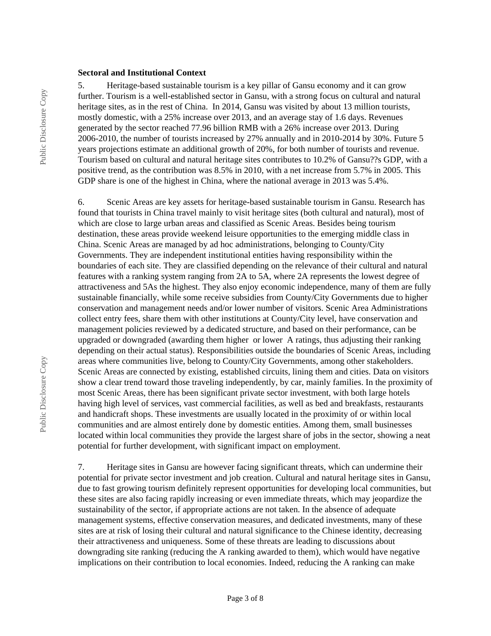#### **Sectoral and Institutional Context**

5. Heritage-based sustainable tourism is a key pillar of Gansu economy and it can grow further. Tourism is a well-established sector in Gansu, with a strong focus on cultural and natural heritage sites, as in the rest of China. In 2014, Gansu was visited by about 13 million tourists, mostly domestic, with a 25% increase over 2013, and an average stay of 1.6 days. Revenues generated by the sector reached 77.96 billion RMB with a 26% increase over 2013. During 2006-2010, the number of tourists increased by 27% annually and in 2010-2014 by 30%. Future 5 years projections estimate an additional growth of 20%, for both number of tourists and revenue. Tourism based on cultural and natural heritage sites contributes to 10.2% of Gansu??s GDP, with a positive trend, as the contribution was 8.5% in 2010, with a net increase from 5.7% in 2005. This GDP share is one of the highest in China, where the national average in 2013 was 5.4%.

6. Scenic Areas are key assets for heritage-based sustainable tourism in Gansu. Research has found that tourists in China travel mainly to visit heritage sites (both cultural and natural), most of which are close to large urban areas and classified as Scenic Areas. Besides being tourism destination, these areas provide weekend leisure opportunities to the emerging middle class in China. Scenic Areas are managed by ad hoc administrations, belonging to County/City Governments. They are independent institutional entities having responsibility within the boundaries of each site. They are classified depending on the relevance of their cultural and natural features with a ranking system ranging from 2A to 5A, where 2A represents the lowest degree of attractiveness and 5As the highest. They also enjoy economic independence, many of them are fully sustainable financially, while some receive subsidies from County/City Governments due to higher conservation and management needs and/or lower number of visitors. Scenic Area Administrations collect entry fees, share them with other institutions at County/City level, have conservation and management policies reviewed by a dedicated structure, and based on their performance, can be upgraded or downgraded (awarding them higher or lower A ratings, thus adjusting their ranking depending on their actual status). Responsibilities outside the boundaries of Scenic Areas, including areas where communities live, belong to County/City Governments, among other stakeholders. Scenic Areas are connected by existing, established circuits, lining them and cities. Data on visitors show a clear trend toward those traveling independently, by car, mainly families. In the proximity of most Scenic Areas, there has been significant private sector investment, with both large hotels having high level of services, vast commercial facilities, as well as bed and breakfasts, restaurants and handicraft shops. These investments are usually located in the proximity of or within local communities and are almost entirely done by domestic entities. Among them, small businesses located within local communities they provide the largest share of jobs in the sector, showing a neat potential for further development, with significant impact on employment.

7. Heritage sites in Gansu are however facing significant threats, which can undermine their potential for private sector investment and job creation. Cultural and natural heritage sites in Gansu, due to fast growing tourism definitely represent opportunities for developing local communities, but these sites are also facing rapidly increasing or even immediate threats, which may jeopardize the sustainability of the sector, if appropriate actions are not taken. In the absence of adequate management systems, effective conservation measures, and dedicated investments, many of these sites are at risk of losing their cultural and natural significance to the Chinese identity, decreasing their attractiveness and uniqueness. Some of these threats are leading to discussions about downgrading site ranking (reducing the A ranking awarded to them), which would have negative implications on their contribution to local economies. Indeed, reducing the A ranking can make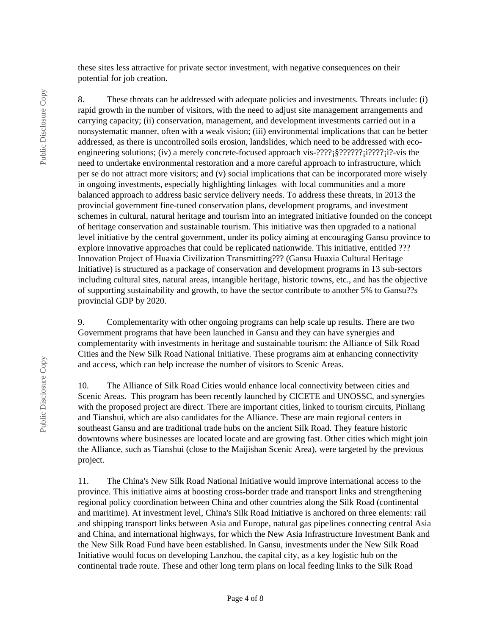these sites less attractive for private sector investment, with negative consequences on their potential for job creation.

8. These threats can be addressed with adequate policies and investments. Threats include: (i) rapid growth in the number of visitors, with the need to adjust site management arrangements and carrying capacity; (ii) conservation, management, and development investments carried out in a nonsystematic manner, often with a weak vision; (iii) environmental implications that can be better addressed, as there is uncontrolled soils erosion, landslides, which need to be addressed with ecoengineering solutions; (iv) a merely concrete-focused approach vis- $\frac{27}{2}$ ;  $\frac{27}{2}$ ?????; $\frac{127}{2}$ ?:???; the need to undertake environmental restoration and a more careful approach to infrastructure, which per se do not attract more visitors; and (v) social implications that can be incorporated more wisely in ongoing investments, especially highlighting linkages with local communities and a more balanced approach to address basic service delivery needs. To address these threats, in 2013 the provincial government fine-tuned conservation plans, development programs, and investment schemes in cultural, natural heritage and tourism into an integrated initiative founded on the concept of heritage conservation and sustainable tourism. This initiative was then upgraded to a national level initiative by the central government, under its policy aiming at encouraging Gansu province to explore innovative approaches that could be replicated nationwide. This initiative, entitled ??? Innovation Project of Huaxia Civilization Transmitting??? (Gansu Huaxia Cultural Heritage Initiative) is structured as a package of conservation and development programs in 13 sub-sectors including cultural sites, natural areas, intangible heritage, historic towns, etc., and has the objective of supporting sustainability and growth, to have the sector contribute to another 5% to Gansu??s provincial GDP by 2020.

9. Complementarity with other ongoing programs can help scale up results. There are two Government programs that have been launched in Gansu and they can have synergies and complementarity with investments in heritage and sustainable tourism: the Alliance of Silk Road Cities and the New Silk Road National Initiative. These programs aim at enhancing connectivity and access, which can help increase the number of visitors to Scenic Areas.

10. The Alliance of Silk Road Cities would enhance local connectivity between cities and Scenic Areas. This program has been recently launched by CICETE and UNOSSC, and synergies with the proposed project are direct. There are important cities, linked to tourism circuits, Pinliang and Tianshui, which are also candidates for the Alliance. These are main regional centers in southeast Gansu and are traditional trade hubs on the ancient Silk Road. They feature historic downtowns where businesses are located locate and are growing fast. Other cities which might join the Alliance, such as Tianshui (close to the Maijishan Scenic Area), were targeted by the previous project.

11. The China's New Silk Road National Initiative would improve international access to the province. This initiative aims at boosting cross-border trade and transport links and strengthening regional policy coordination between China and other countries along the Silk Road (continental and maritime). At investment level, China's Silk Road Initiative is anchored on three elements: rail and shipping transport links between Asia and Europe, natural gas pipelines connecting central Asia and China, and international highways, for which the New Asia Infrastructure Investment Bank and the New Silk Road Fund have been established. In Gansu, investments under the New Silk Road Initiative would focus on developing Lanzhou, the capital city, as a key logistic hub on the continental trade route. These and other long term plans on local feeding links to the Silk Road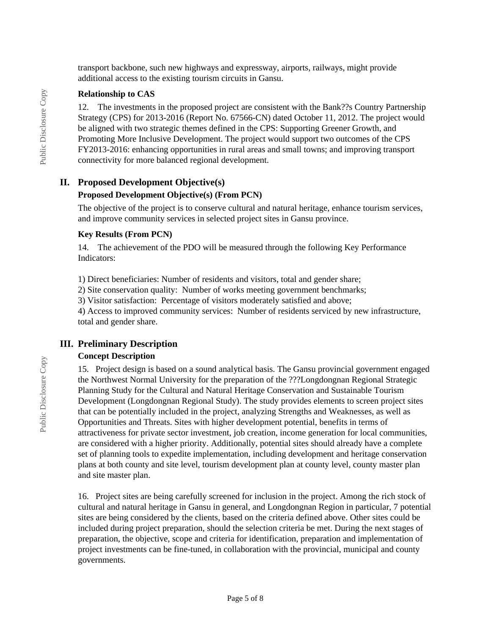transport backbone, such new highways and expressway, airports, railways, might provide additional access to the existing tourism circuits in Gansu.

#### **Relationship to CAS**

12. The investments in the proposed project are consistent with the Bank??s Country Partnership Strategy (CPS) for 2013-2016 (Report No. 67566-CN) dated October 11, 2012. The project would be aligned with two strategic themes defined in the CPS: Supporting Greener Growth, and Promoting More Inclusive Development. The project would support two outcomes of the CPS FY2013-2016: enhancing opportunities in rural areas and small towns; and improving transport connectivity for more balanced regional development.

#### **II. Proposed Development Objective(s)**

#### **Proposed Development Objective(s) (From PCN)**

The objective of the project is to conserve cultural and natural heritage, enhance tourism services, and improve community services in selected project sites in Gansu province.

#### **Key Results (From PCN)**

14. The achievement of the PDO will be measured through the following Key Performance Indicators:

1) Direct beneficiaries: Number of residents and visitors, total and gender share;

2) Site conservation quality: Number of works meeting government benchmarks;

3) Visitor satisfaction: Percentage of visitors moderately satisfied and above;

4) Access to improved community services: Number of residents serviced by new infrastructure, total and gender share.

### **III. Preliminary Description**

#### **Concept Description**

15. Project design is based on a sound analytical basis. The Gansu provincial government engaged the Northwest Normal University for the preparation of the ???Longdongnan Regional Strategic Planning Study for the Cultural and Natural Heritage Conservation and Sustainable Tourism Development (Longdongnan Regional Study). The study provides elements to screen project sites that can be potentially included in the project, analyzing Strengths and Weaknesses, as well as Opportunities and Threats. Sites with higher development potential, benefits in terms of attractiveness for private sector investment, job creation, income generation for local communities, are considered with a higher priority. Additionally, potential sites should already have a complete set of planning tools to expedite implementation, including development and heritage conservation plans at both county and site level, tourism development plan at county level, county master plan and site master plan.

16. Project sites are being carefully screened for inclusion in the project. Among the rich stock of cultural and natural heritage in Gansu in general, and Longdongnan Region in particular, 7 potential sites are being considered by the clients, based on the criteria defined above. Other sites could be included during project preparation, should the selection criteria be met. During the next stages of preparation, the objective, scope and criteria for identification, preparation and implementation of project investments can be fine-tuned, in collaboration with the provincial, municipal and county governments.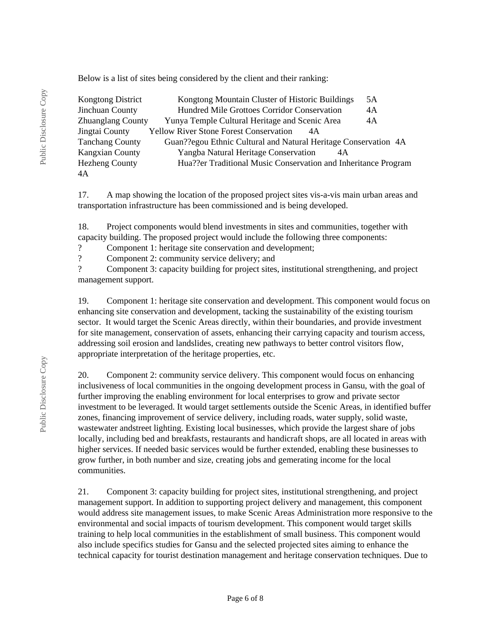Below is a list of sites being considered by the client and their ranking:

| Kongtong District        | Kongtong Mountain Cluster of Historic Buildings                 | 5A |  |
|--------------------------|-----------------------------------------------------------------|----|--|
| Jinchuan County          | Hundred Mile Grottoes Corridor Conservation                     | 4A |  |
| <b>Zhuanglang County</b> | Yunya Temple Cultural Heritage and Scenic Area                  | 4A |  |
| Jingtai County           | <b>Yellow River Stone Forest Conservation</b><br>4A             |    |  |
| <b>Tanchang County</b>   | Guan??egou Ethnic Cultural and Natural Heritage Conservation 4A |    |  |
| <b>Kangxian County</b>   | Yangba Natural Heritage Conservation<br>4A                      |    |  |
| <b>Hezheng County</b>    | Hua??er Traditional Music Conservation and Inheritance Program  |    |  |
| 4A                       |                                                                 |    |  |

17. A map showing the location of the proposed project sites vis-a-vis main urban areas and transportation infrastructure has been commissioned and is being developed.

18. Project components would blend investments in sites and communities, together with capacity building. The proposed project would include the following three components: ? Component 1: heritage site conservation and development;

? Component 2: community service delivery; and

? Component 3: capacity building for project sites, institutional strengthening, and project management support.

19. Component 1: heritage site conservation and development. This component would focus on enhancing site conservation and development, tacking the sustainability of the existing tourism sector. It would target the Scenic Areas directly, within their boundaries, and provide investment for site management, conservation of assets, enhancing their carrying capacity and tourism access, addressing soil erosion and landslides, creating new pathways to better control visitors flow, appropriate interpretation of the heritage properties, etc.

20. Component 2: community service delivery. This component would focus on enhancing inclusiveness of local communities in the ongoing development process in Gansu, with the goal of further improving the enabling environment for local enterprises to grow and private sector investment to be leveraged. It would target settlements outside the Scenic Areas, in identified buffer zones, financing improvement of service delivery, including roads, water supply, solid waste, wastewater andstreet lighting. Existing local businesses, which provide the largest share of jobs locally, including bed and breakfasts, restaurants and handicraft shops, are all located in areas with higher services. If needed basic services would be further extended, enabling these businesses to grow further, in both number and size, creating jobs and gemerating income for the local communities.

21. Component 3: capacity building for project sites, institutional strengthening, and project management support. In addition to supporting project delivery and management, this component would address site management issues, to make Scenic Areas Administration more responsive to the environmental and social impacts of tourism development. This component would target skills training to help local communities in the establishment of small business. This component would also include specifics studies for Gansu and the selected projected sites aiming to enhance the technical capacity for tourist destination management and heritage conservation techniques. Due to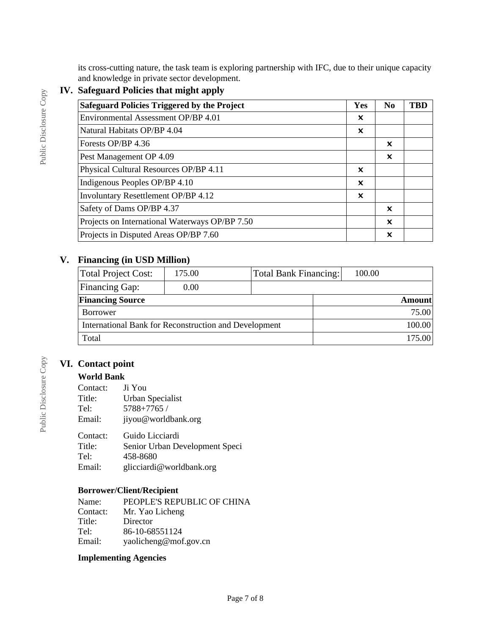its cross-cutting nature, the task team is exploring partnership with IFC, due to their unique capacity and knowledge in private sector development.

## **IV. Safeguard Policies that might apply**

Public Disclosure Copy

Public Disclosure Copy

| <b>Safeguard Policies Triggered by the Project</b> | Yes                       | N <sub>0</sub> | <b>TBD</b> |
|----------------------------------------------------|---------------------------|----------------|------------|
| Environmental Assessment OP/BP 4.01                | x                         |                |            |
| Natural Habitats OP/BP 4.04                        | $\boldsymbol{\mathsf{x}}$ |                |            |
| Forests OP/BP 4.36                                 |                           | x              |            |
| Pest Management OP 4.09                            |                           | X              |            |
| Physical Cultural Resources OP/BP 4.11             | ×                         |                |            |
| Indigenous Peoples OP/BP 4.10                      | X                         |                |            |
| Involuntary Resettlement OP/BP 4.12                | ×                         |                |            |
| Safety of Dams OP/BP 4.37                          |                           | x              |            |
| Projects on International Waterways OP/BP 7.50     |                           | X              |            |
| Projects in Disputed Areas OP/BP 7.60              |                           | X              |            |

## **V. Financing (in USD Million)**

| Total Project Cost:                                   | 175.00 | <b>Total Bank Financing:</b> | 100.00 |  |
|-------------------------------------------------------|--------|------------------------------|--------|--|
| Financing Gap:                                        | 0.00   |                              |        |  |
| <b>Financing Source</b>                               |        |                              | Amount |  |
| Borrower                                              |        |                              | 75.00  |  |
| International Bank for Reconstruction and Development |        |                              | 100.00 |  |
| Total                                                 |        |                              | 175.00 |  |

## **VI. Contact point**

### **World Bank**

| Contact:<br>Title:<br>Tel:<br>Email: | Ji You<br>Urban Specialist<br>5788+7765 /<br>jiyou@worldbank.org |
|--------------------------------------|------------------------------------------------------------------|
| Contact:                             | Guido Licciardi                                                  |
|                                      |                                                                  |
| Title:                               | Senior Urban Development Speci                                   |
| Tel:                                 | 458-8680                                                         |
| Email:                               | glicciardi@worldbank.org                                         |

### **Borrower/Client/Recipient**

| Name:    | PEOPLE'S REPUBLIC OF CHINA |
|----------|----------------------------|
| Contact: | Mr. Yao Licheng            |
| Title:   | Director                   |
| Tel:     | 86-10-68551124             |
| Email:   | yaolicheng@mof.gov.cn      |

#### **Implementing Agencies**